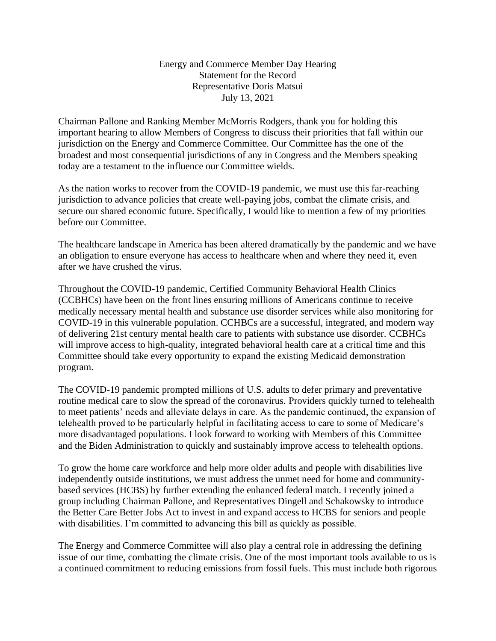Chairman Pallone and Ranking Member McMorris Rodgers, thank you for holding this important hearing to allow Members of Congress to discuss their priorities that fall within our jurisdiction on the Energy and Commerce Committee. Our Committee has the one of the broadest and most consequential jurisdictions of any in Congress and the Members speaking today are a testament to the influence our Committee wields.

As the nation works to recover from the COVID-19 pandemic, we must use this far-reaching jurisdiction to advance policies that create well-paying jobs, combat the climate crisis, and secure our shared economic future. Specifically, I would like to mention a few of my priorities before our Committee.

The healthcare landscape in America has been altered dramatically by the pandemic and we have an obligation to ensure everyone has access to healthcare when and where they need it, even after we have crushed the virus.

Throughout the COVID-19 pandemic, Certified Community Behavioral Health Clinics (CCBHCs) have been on the front lines ensuring millions of Americans continue to receive medically necessary mental health and substance use disorder services while also monitoring for COVID-19 in this vulnerable population. CCHBCs are a successful, integrated, and modern way of delivering 21st century mental health care to patients with substance use disorder. CCBHCs will improve access to high-quality, integrated behavioral health care at a critical time and this Committee should take every opportunity to expand the existing Medicaid demonstration program.

The COVID-19 pandemic prompted millions of U.S. adults to defer primary and preventative routine medical care to slow the spread of the coronavirus. Providers quickly turned to telehealth to meet patients' needs and alleviate delays in care. As the pandemic continued, the expansion of telehealth proved to be particularly helpful in facilitating access to care to some of Medicare's more disadvantaged populations. I look forward to working with Members of this Committee and the Biden Administration to quickly and sustainably improve access to telehealth options.

To grow the home care workforce and help more older adults and people with disabilities live independently outside institutions, we must address the unmet need for home and communitybased services (HCBS) by further extending the enhanced federal match. I recently joined a group including Chairman Pallone, and Representatives Dingell and Schakowsky to introduce the Better Care Better Jobs Act to invest in and expand access to HCBS for seniors and people with disabilities. I'm committed to advancing this bill as quickly as possible.

The Energy and Commerce Committee will also play a central role in addressing the defining issue of our time, combatting the climate crisis. One of the most important tools available to us is a continued commitment to reducing emissions from fossil fuels. This must include both rigorous